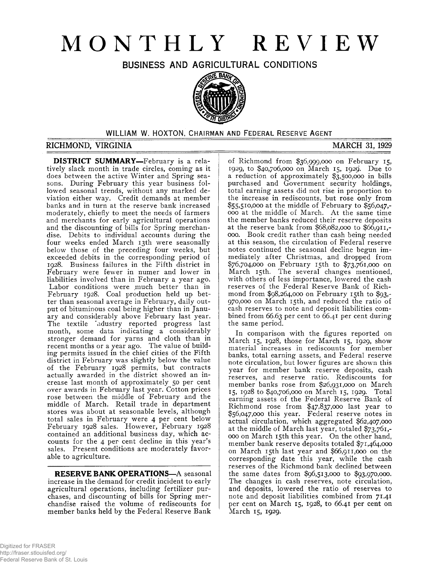# **MONTHLY REVIEW**

**BUSINESS AND AGRICULTURAL CONDITIONS**



### **WILLIAM W. HOXTON, CHAIRMAN AND FEDERAL RESERVE AGENT**

#### **RICHMOND, VIRGINIA MARCH 31, 1929**

**DISTRICT SUMMARY—**February is a relatively slack month in trade circles, coming as it does between the active Winter and Spring seasons. During February this year business followed seasonal trends, without any marked deviation either way. Credit demands at member banks and in turn at the reserve bank increased moderately, chiefly to meet the needs of farmers and merchants for early agricultural operations and the discounting of bills for Spring merchandise. Debits to individual accounts during the four weeks ended March 13th were seasonally below those of the preceding four weeks, but exceeded debits in the corresponding period of 1928. Business failures in the Fifth district in February were fewer in numer and lower in liabilities involved than in February a year ago. Labor conditions were much better than in February 1928. Coal production held up better than seasonal average in February, daily output of bituminous coal being higher than in January and considerably above February last year. The textile \*ndustry reported progress last month, some data indicating a considerably stronger demand for yarns and cloth than in recent months or a year ago. The value of building permits issued in the chief cities of the Fifth district in February was slightly below the value of the February 1928 permits, but contracts actually awarded in the district showed an increase last month of approximately 50 per cent over awards in February last year. Cotton prices rose between the middle of February and the middle of March. Retail trade in department stores was about at seasonable levels, although total sales in February were 4 per cent below February 1928 sales. However, February 1928 contained an additional business day, which accounts for the 4 per cent decline in this year's sales. Present conditions are moderately favorable to agriculture.

**RESERVE BANK OPERATIONS—**A seasonal increase in the demand for credit incident to early agricultural operations, including fertilizer purchases, and discounting of bills for Spring merchandise raised the volume of rediscounts for member banks held by the Federal Reserve Bank

of Richmond from \$36,999,000 on February 15, 1929, to \$40,706,000 on March 15, 1929. Due to a reduction of approximately \$3,500,000 in bills purchased and Government security holdings, total earning assets did not rise in proportion to the increase in rediscounts, but rose only from \$55,510,000 at the middle of February to \$56,047,- 000 at the middle of March. At the same time the member banks reduced their reserve deposits at the reserve bank from \$68,082,000 to \$66,911,- 000. Book credit rather than cash being needed at this season, the circulation of Federal reserve notes continued the seasonal decline begun immediately after Christmas, and dropped from \$76,704,000 on February 15th to \$73,761,000 on March 15th. The several changes mentioned, with others of less importance, lowered the cash reserves of the Federal Reserve Bank of Richmond from \$98,264,000 on February 15th to \$93,- 970,000 on March 15th, and reduced the ratio of cash reserves to note and deposit liabilities combined from 66.63 per cent to 66.41 per cent during the same period.

In comparison with the figures reported on March 15, 1928, those for March 15, 1929, show material increases in rediscounts for member banks, total earning assets, and Federal reserve note circulation, but lower figures are shown this year for member bank reserve deposits, cash reserves, and reserve ratio. Rediscounts for member banks rose from \$26,931,000 on March 15, 1928 to \$40,706,000 on March 15, 1929. Total earning assets of the Federal Reserve Bank of Richmond rose from \$47,837,000 last year to \$56,047,000 this year. Federal reserve notes in actual circulation, which aggregated \$62,407,000 at the middle of March last year, totaled \$73,761,- 000 on March 15th this year. On the other hand, member bank reserve deposits totaled \$71,464,000 on March 15th last year and \$66,911,000 on the corresponding date this year, while the cash reserves of the Richmond bank declined between the same dates from \$96,513,000 to \$93,970,000. The changes in cash reserves, note circulation, and deposits, lowered the ratio of reserves to note and deposit liabilities combined from 71.41 per cent on March 15, 1928, to 66.41 per cent on March 15, 1929.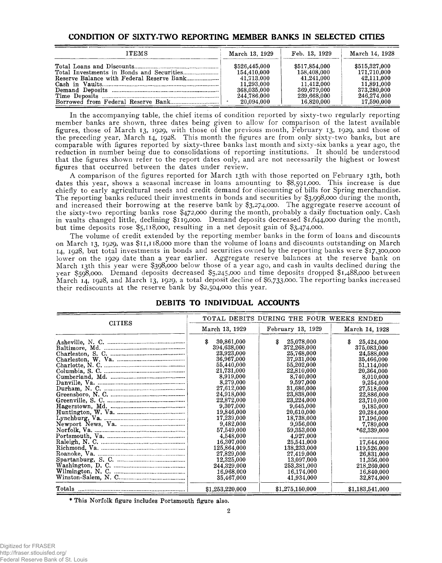### **CONDITION OF SIXTY-TWO REPORTING MEMBER BANKS IN SELECTED CITIES**

| <b>ITEMS</b> | March 13, 1929 | Feb. 13, 1929 | March 14, 1928 |
|--------------|----------------|---------------|----------------|
|              | \$526,445,000  | \$517,854,000 | \$515,327,000  |
|              | 154.410.000    | 158,408,000   | 171.710.000    |
|              | 41.713.000     | 41.241.000    | 42.111.000     |
|              | 11.293.000     | 11.412.000    | 11.891.000     |
|              | 368.035.000    | 369.679.000   | 373.280.000    |
|              | 244.786.000    | 239,668,000   | 246.274.000    |
|              | 20.094.000     | 16.820.000    | 17.590.000     |

In the accompanying table, the chief items of condition reported by sixty-two regularly reporting member banks are shown, three dates being given to allow for comparison of the latest available figures, those of March 13, 1929, with those of the previous month, February 13, 1929, and those of the preceding year, March 14, 1928. This month the figures are from only sixty-two banks, but are comparable with figures reported by sixty-three banks last month and sixty-six banks a year ago, the reduction in number being due to consolidations of reporting institutions. It should be understood that the figures shown refer to the report dates only, and are not necessarily the highest or lowest figures that occurred between the dates under review.

A comparison of the figures reported for March 13th with those reported on February 13th, both dates this year, shows a seasonal increase in loans amounting to \$8,591,000. This increase is due chiefly to early agricultural needs and credit demand for discounting of bills for Spring merchandise. The reporting banks reduced their investments in bonds and securities by \$3,998,000 during the month, and increased their borrowing at the reserve bank by \$3,274,000. The aggregate reserve account of the sixty-two reporting banks rose \$472,000 during the month, probably a daily fluctuation only. Cash in vaults changed little, declining \$119,000. Demand deposits decreased \$1,644,000 during the month, but time deposits rose \$5,118,000, resulting in a net deposit gain of \$3,474,000.

The volume of credit extended by the reporting member banks in the form of loans and discounts on March 13, 1929, was \$11,118,000 more than the volume of loans and discounts outstanding on March 14, 1928, but total investments in bonds and securities owned by the reporting banks were \$17,300,000 lower on the 1929 date than a year earlier. Aggregate reserve balances at the reserve bank on March 13th this year were \$398,000 below those of a year ago, and cash in vaults declined during the year \$598,000. Demand deposits decreased \$5,245,000 and time deposits dropped \$1,488,000 between March 14, 1928, and March 13, 1929, a total deposit decline of \$6,733,000. The reporting banks increased their rediscounts at the reserve bank by \$2,504,000 this year.

| <b>CITIES</b>                                                                                                                             |                                                                                                                                                                                                                                                                                                                      | TOTAL DEBITS DURING THE FOUR WEEKS ENDED                                                                                                                                                                                                                                                                             |                                                                                                                                                                                                                                                                                                            |
|-------------------------------------------------------------------------------------------------------------------------------------------|----------------------------------------------------------------------------------------------------------------------------------------------------------------------------------------------------------------------------------------------------------------------------------------------------------------------|----------------------------------------------------------------------------------------------------------------------------------------------------------------------------------------------------------------------------------------------------------------------------------------------------------------------|------------------------------------------------------------------------------------------------------------------------------------------------------------------------------------------------------------------------------------------------------------------------------------------------------------|
|                                                                                                                                           | March 13, 1929                                                                                                                                                                                                                                                                                                       | February 13, 1929                                                                                                                                                                                                                                                                                                    | March 14, 1928                                                                                                                                                                                                                                                                                             |
|                                                                                                                                           | \$<br>30,861,000<br>394,638,000<br>23,923,000<br>36,967,000<br>55,440,000<br>21,731,000<br>8,919,000<br>8,279,000<br>27,612,000<br>24,918,000<br>22,872,000<br>9,307,000<br>19,846,000<br>17,239,000<br>9,482,000<br>57.549,000<br>4,548,000<br>16,307,000<br>125,864,000<br>27,829,000<br>12,325,000<br>244,329,000 | \$<br>25,078,000<br>372,268,000<br>25,768,000<br>37,931,000<br>55,202,000<br>22,810,000<br>8,740,000<br>9,597,000<br>31,686,000<br>23,838,000<br>23,224,000<br>9,645,000<br>20,610,000<br>18,738,000<br>9,956,000<br>59,353,000<br>4,927,000<br>25,541,000<br>138,233,000<br>27,419,000<br>13,097,000<br>253,381,000 | £.<br>25,424,000<br>375,083,000<br>24,588,000<br>35,466,000<br>51,114,000<br>20,364,000<br>8,010,000<br>9,254,000<br>27,518,000<br>22,886,000<br>23,710,000<br>9,185,000<br>20,284,000<br>17,196,000<br>7,789,000<br>$*62,339,000$<br>17,644,000<br>119,526,000<br>26,831,000<br>11,356,000<br>218,260,000 |
| $\text{W\text{-}ashington, D. C.}\n\underline{\text{W\text{-}inington, N. C.}\n}\n\underline{\text{W\text{-}inington, N. C.}\n}\n\text{}$ | 16,968,000<br>35,467,000                                                                                                                                                                                                                                                                                             | 16,174,000<br>41,934,000                                                                                                                                                                                                                                                                                             | 16,840,000<br>32,874,000                                                                                                                                                                                                                                                                                   |
|                                                                                                                                           | \$1,253,220,000                                                                                                                                                                                                                                                                                                      | \$1,275,150,000                                                                                                                                                                                                                                                                                                      | \$1,183,541,000                                                                                                                                                                                                                                                                                            |

### **DEBITS TO INDIVIDUAL ACCOUNTS**

\* This Norfolk figure includes Portsmouth figure also.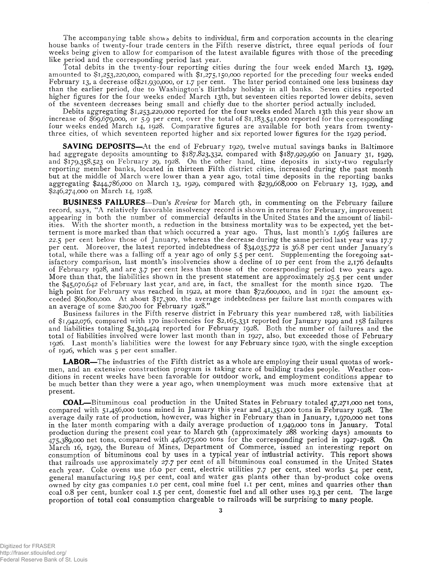The accompanying table shows debits to individual, firm and corporation accounts in the clearing house banks of twenty-four trade centers in the Fifth reserve district, three equal periods of four weeks being given to allow for comparison of the latest available figures with those of the preceding like period and the corresponding period last year.

Total debits in the twenty-four reporting cities during the four week ended March 13, 1929, amounted to \$1,253,220,000, compared with \$1,275,150,000 reported for the preceding four weeks ended February 13, a decrease of \$21,930,000, or 1.7 per cent. The later period contained one less business day than the earlier period, due to Washington's Birthday holiday in all banks. Seven cities reported higher figures for the four weeks ended March 13th, but seventeen cities reported lower debits, seven of the seventeen decreases being small and chiefly due to the shorter period actually included.

Debits aggregating \$1,253,220,000 reported for the four weeks ended March 13th this year show an increase of \$69,679,000, or 5.9 per cent, over the total of \$1,183,541,000 reported for the corresponding four weeks ended March 14, 1928. Comparative figures are available for both years from twentythree cities, of which seventeen reported higher and six reported lower figures for the 1929 period.

**SAVING DEPOSITS**—At the end of February 1929, twelve mutual savings banks in Baltimore had aggregate deposits amounting to \$187,823,332, compared with \$187,929,960 on January 31, 1929, and \$179,358,523 on February 29, 1928. On the other hand, time deposits in sixty-two regularly reporting member banks, located in thirteen Fifth district cities, increased during the past month but at the middle of March were lower than a year ago, total time deposits in the reporting banks aggregating \$244,786,000 on March 13, 1929, compared with \$239,668,000 on February 13, 1929, and \$246,274,000 on March 14, 1928.

**BUSINESS FAILURES**—Dun's *Review* for March 9th, in commenting on the February failure record, says, "A relatively favorable insolvency record is shown in returns for February, improvement appearing in both the number of commercial defaults in the United States and the amount of liabilities. With the shorter month, a reduction in the business mortality was to be expected, yet the betterment is more marked than that which occurred a year ago. Thus, last month's 1,965 failures are 22.5 per cent below those of January, whereas the decrease during the same period last year was 17.7 per cent. Moreover, the latest reported indebtedness of \$34,035,772 is 36.8 per cent under January's total, while there was a falling off a year ago of only 5.5 per cent. Supplementing the foregoing satisfactory comparison, last month's insolvencies show a decline of 10 per cent from the 2,176 defaults of February 1928, and are 3.7 per cent less than those of the coresrponding period two years ago. More than that, the liabilities shown in the present statement are approximately 25.5 per cent under the \$45,070,642 of February last year, and are, in fact, the smallest for the month since 1920. The high point for February was reached in 1922, at more than \$72,600,000, and in 1921 the amount exceeded \$60,800,000. At about \$17,300, the average indebtedness per failure last month compares with an average of some \$20,700 for February 1928."

Business failures in the Fifth reserve district in February this year numbered 128, with liabilities of \$1,942,076, compared with 170 insolvencies for \$2,165,331 reported for January 1929 and 158 failures and liabilities totaling \$4,304,424 reported for February 1928. Both the number of failures and the total of liabilities involved were lower last month than in 1927, also, but exceeded those of February 1926. Last month's liabilities were the lowest for any February since 1920, with the single exception of 1926, which was 5 per cent smaller.

**LABOR**—The industries of the Fifth district as a whole are employing their usual quotas of workmen, and an extensive construction program is taking care of building trades people. Weather conditions in recent weeks have been favorable for outdoor work, and employment conditions appear to be much better than they were a year ago, when unemployment was much more extensive that at present.

**COAL**—Bituminous coal production in the United States in February totaled 47,271,000 net tons, compared with 51,456,000 tons mined in January this year and 41,351,000 tons in February 1928. The average daily rate of production, however, was higher in February than in January, 1,970,000 net tons in the later month comparing with a daily average production of 1,949,000 tons in January. Total production during the present coal year to March 9th (approximately 288 working days) amounts to  $475.389,000$  net tons, compared with  $446.075.000$  tons for the corresponding period in  $1927$ -1928. On March 16, 1929, the Bureau of Mines, Department of Commerce, issued an interesting report on consumption of bituminous coal by uses in a typical year of industrial activity. This report shows that railroads use approximately 27.7 per cent of all bituminous coal consumed in the United States each year. Coke ovens use 16.0 per cent, electric utilities 7.7 per cent, steel works 5.4 per cent, general manufacturing 19.5 per cent, coal and water gas plants other than by-product coke ovens owned by city gas companies 1.0 per cent, coal mine fuel 1.1 per cent, mines and quarries other than coal 0.8 per cent, bunker coal 1.5 per cent, domestic fuel and all other uses 19.3 per cent. The large proportion of total coal consumption chargeable to railroads will be surprising to many people.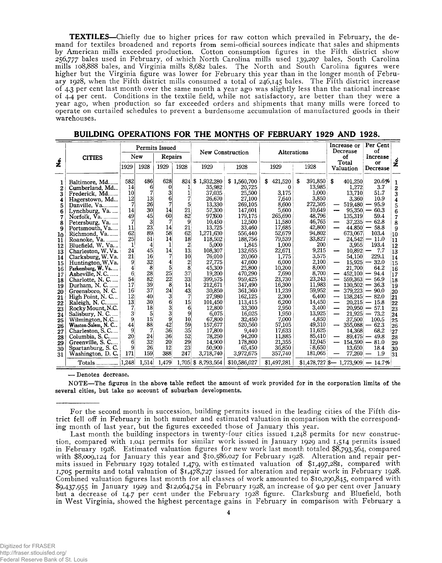**TEXTILES**—Chiefly due to higher prices for raw cotton which prevailed in February, the demand for textiles broadened and reports from semi-official sources indicate that sales and shipments by American mills exceeded production. Cotton consumption figures in the Fifth district show 256,777 bales used in February, of .which North Carolina mills used 139,207 bales, South Carolina mills 108,888 bales, and Virginia mills 8,682 bales. The North and South Carolina figures were higher but the Virginia figure was lower for February this year than in the longer month of February 1928, when the Fifth district mills consumed a total of 246,145 bales. The Fifth district increase of 4.3 per cent last month over the same month a year ago was slightly less than the national increase of 4.4 per cent. Conditions in the textile field, while not satisfactory, are better than they were a year ago, when production so far exceeded orders and shipments that many mills were forced to operate on curtailed schedules to prevent a burdensome accumulation of manufactured goods in their warehouses.

|                                                                                                                                                                               |                                                                                                                                                                                                                                                                                                                                                                                                                                                                                                                                                                                                              |                                                                                                                                                                                                                                                                                     | Permits Issued                                                                                                                                                                                   |                                                                                                                                                                                                                                 |                                                                                                                                                                      |                                                                                                                                                                                                                                                                                                                                       | New Construction                                                                                                                                                                                                                                                                                                                       |                                                                                                                                                                                                                                                                                                          | <b>Alterations</b>                                                                                                                                                                                                                                                                                            | Increase or<br>Decrease                                                                                              |                                                                                                                                                                                                                                                                                                                            | Per Cent<br>οf                                                                                                                                                                                                                                                                             |                                                                                                                                                                                                                            |
|-------------------------------------------------------------------------------------------------------------------------------------------------------------------------------|--------------------------------------------------------------------------------------------------------------------------------------------------------------------------------------------------------------------------------------------------------------------------------------------------------------------------------------------------------------------------------------------------------------------------------------------------------------------------------------------------------------------------------------------------------------------------------------------------------------|-------------------------------------------------------------------------------------------------------------------------------------------------------------------------------------------------------------------------------------------------------------------------------------|--------------------------------------------------------------------------------------------------------------------------------------------------------------------------------------------------|---------------------------------------------------------------------------------------------------------------------------------------------------------------------------------------------------------------------------------|----------------------------------------------------------------------------------------------------------------------------------------------------------------------|---------------------------------------------------------------------------------------------------------------------------------------------------------------------------------------------------------------------------------------------------------------------------------------------------------------------------------------|----------------------------------------------------------------------------------------------------------------------------------------------------------------------------------------------------------------------------------------------------------------------------------------------------------------------------------------|----------------------------------------------------------------------------------------------------------------------------------------------------------------------------------------------------------------------------------------------------------------------------------------------------------|---------------------------------------------------------------------------------------------------------------------------------------------------------------------------------------------------------------------------------------------------------------------------------------------------------------|----------------------------------------------------------------------------------------------------------------------|----------------------------------------------------------------------------------------------------------------------------------------------------------------------------------------------------------------------------------------------------------------------------------------------------------------------------|--------------------------------------------------------------------------------------------------------------------------------------------------------------------------------------------------------------------------------------------------------------------------------------------|----------------------------------------------------------------------------------------------------------------------------------------------------------------------------------------------------------------------------|
| <u>ؤ</u>                                                                                                                                                                      | <b>CITIES</b>                                                                                                                                                                                                                                                                                                                                                                                                                                                                                                                                                                                                |                                                                                                                                                                                                                                                                                     | New                                                                                                                                                                                              | Repairs                                                                                                                                                                                                                         |                                                                                                                                                                      |                                                                                                                                                                                                                                                                                                                                       |                                                                                                                                                                                                                                                                                                                                        |                                                                                                                                                                                                                                                                                                          |                                                                                                                                                                                                                                                                                                               |                                                                                                                      | οf<br>Total                                                                                                                                                                                                                                                                                                                | Increase                                                                                                                                                                                                                                                                                   | ó                                                                                                                                                                                                                          |
|                                                                                                                                                                               |                                                                                                                                                                                                                                                                                                                                                                                                                                                                                                                                                                                                              | 1929                                                                                                                                                                                                                                                                                | 1928                                                                                                                                                                                             | 1929                                                                                                                                                                                                                            | 1928                                                                                                                                                                 | 1929                                                                                                                                                                                                                                                                                                                                  | 1928                                                                                                                                                                                                                                                                                                                                   | 1929                                                                                                                                                                                                                                                                                                     | 1928                                                                                                                                                                                                                                                                                                          |                                                                                                                      | Valuation                                                                                                                                                                                                                                                                                                                  | or<br>Decrease                                                                                                                                                                                                                                                                             | Ž                                                                                                                                                                                                                          |
| 1<br>2<br>3<br>4<br>5<br>6<br>7<br>8<br>9<br>10<br>11<br>12<br>13<br>14<br>15<br>16<br>17<br>18<br>19<br>20<br>21<br>22<br>23<br>24<br>25<br>26<br>27<br>28<br>29<br>30<br>31 | Baltimore, Md<br>Cumberland, Md<br>Frederick, Md<br>Hagerstown, Md<br>Danville, Va<br>Lynchburg, Va.<br>Norfolk, Va.<br>Petersburg, Va.<br>Portsmouth, Va<br>Richmond, Va<br>Roanoke, Va.<br>Bluefield, W. Va<br>Charleston, W. Va.<br>Clarksburg, W.Va.<br>Huntington, W.Va.<br>Parkersburg, W. Va<br>Asheville, N.C<br>Charlotte, N. C<br>Durham, N.C.<br><br>Greensboro, N.C.<br>High Point, N. C<br>Raleigh, N. C<br>Rocky Mount, N.C.<br>Salisbury, N. C.<br>Wilmington, N.C<br>Winston-Salem, N. C.<br>Charleston, S.C<br>Columbia, S.C<br>Greenville, S. C<br>Spartanburg, S. C.<br>Washington, D. C. | 582<br>14<br>10 <sup>1</sup><br>$12 \,$<br>7<br>14<br>49<br>7<br>11<br>62<br>25 <sub>l</sub><br>$\mathbf{1}$<br>24<br>21<br>9<br>$\frac{1}{2}$<br>$6^{\circ}$<br>54<br>17<br>16<br>12 <sub>1</sub><br>13<br>7<br>3 <sup>1</sup><br>9<br>44<br>9<br>20 <sup>1</sup><br>6<br>9<br>171 | 486<br>6<br>7<br>13 <sup>1</sup><br>26<br>30l<br>45<br>31<br>23<br>89<br>51<br>4<br>45<br>16<br>32<br>8<br>28<br>82<br>39<br>37<br>40<br>30<br>18<br>5<br>15<br>88<br>7<br>24<br>32<br>26<br>159 | 628<br>0<br>3<br>6<br>14<br>60<br>7<br>14<br>58<br>14<br>1<br>14<br>7<br>4<br>5 <sup>1</sup><br>25 <sub>l</sub><br>22<br>8<br>24<br>3 <sup>l</sup><br>6 <sup>1</sup><br>$3\vert$<br>3<br>9<br>42<br>36<br>36<br>20<br>12<br>388 | 5<br>21<br>82<br>9<br>21<br>62<br>18 <sup>1</sup><br>2<br>13<br>10<br>2<br>8<br>37<br>33<br>14<br>43<br>7<br>15<br>6<br>9<br>10<br>59<br>35<br>52<br>29<br>23<br>247 | 824 \$1,932,280<br>35,982<br>37,035<br>26.670<br>13,330<br>57,300<br>97,600<br>10,450<br>13,725<br>1,271,630<br>118,502<br>5,000<br>108,307<br>76.010<br>27,775<br>45,300<br>19,200<br>399,575<br>212,671<br>30,850<br>27,980<br>101,450<br>12,800<br>6,075<br>67,800<br>157,677<br>17,800<br>78,250<br>14.900<br>50,900<br>3,718,740 | \$1,560,700<br>20,725<br>25,500<br>27,100<br>269,105<br>147,601<br>179,175<br>12,500<br>33,460<br>556,440<br>188,756<br>1,845<br>132,655<br>20,060<br>47.600<br>25,800<br>470,290<br>959,425<br>347,490<br>361,360<br>162,125<br>113,415<br>33,300<br>16,025<br>32,450<br>520.560<br>9,440<br>94,200<br>178,800<br>65,450<br>3,972,675 | S<br>421,520<br>0<br>3,175<br>7.640<br>8,600<br>5,600<br>265,690<br>11,580<br>17,685<br>52,679<br>79.539<br>1,000<br>22,671<br>1,775<br>6,000<br>10,200<br>7.690<br>23,730<br>16,300<br>11,239<br>2,300<br>6,200<br>2,950<br>1,950<br>7,000<br>57,105<br>17.633<br>11,885<br>21,355<br>36,850<br>357,740 | 391,850<br>\$<br>13,985<br>1,000<br>3,850<br>272,305<br>10.649<br>48,796<br>46,765<br>42,800<br>94,802<br>33,827<br>200<br>9,215<br>3,575<br>2,100<br>8,000<br>8,700<br>23,243<br>11,983<br>59,952<br>6,400<br>14,450<br>3,400<br>13,925<br>4,850<br>49,310<br>11,625<br>85,410<br>12,045<br>8,650<br>181,065 | -S<br>—<br>-<br>-<br>—<br>-<br>—<br>$\overline{\phantom{0}}$<br>$\overline{\phantom{0}}$<br>$\overline{\phantom{0}}$ | 401,250<br>1.272<br>13,710<br>3,360<br>519,480<br>95,350<br>135,319<br>37,235<br>44.850<br>673,067<br>24,542<br>3,955<br>10,892<br>54.150<br>15,925<br>21,700<br>452,100<br>559,363<br>130.502<br>379,223<br>138,245<br>20,215<br>20,950<br>21,925<br>37,500<br>355,088<br>14,368<br>89,475<br>154,590<br>13,650<br>77,260 | 20.6%<br>3.7<br>51.7<br>10.9<br>95.9<br>60.3<br>59.4<br>62.8<br>$-58.8$<br>103.4<br>$-11.0$<br>193.4<br>- 7.7<br>229.1<br>32.0<br>64.2<br>94.4<br>56.9<br>36.3<br>90.0<br>82.0<br>$\overline{\phantom{0}}$<br>15.8<br>57.1<br>73.2<br>100.5<br>62.3<br>68.2<br>49.8<br>81.0<br>18.4<br>1.9 | 1<br>$\mathbf 2$<br>3<br>$\overline{\mathbf{4}}$<br>5<br>6<br>$\overline{7}$<br>8<br>9<br>10<br>11<br>12<br>13<br>14<br>15<br>16<br>17<br>18<br>19<br>20<br>21<br>22<br>23<br>24<br>25<br>26<br>27<br>28<br>29<br>30<br>31 |
|                                                                                                                                                                               |                                                                                                                                                                                                                                                                                                                                                                                                                                                                                                                                                                                                              |                                                                                                                                                                                                                                                                                     | 1.514                                                                                                                                                                                            | 1.479                                                                                                                                                                                                                           |                                                                                                                                                                      | $1.705$ \$ 8.793.564                                                                                                                                                                                                                                                                                                                  | \$10,586,027                                                                                                                                                                                                                                                                                                                           | \$1,497,281                                                                                                                                                                                                                                                                                              |                                                                                                                                                                                                                                                                                                               |                                                                                                                      |                                                                                                                                                                                                                                                                                                                            | $$1,478,727$ $$- 1,773,909$ $- 14.7\%$                                                                                                                                                                                                                                                     |                                                                                                                                                                                                                            |

|  |  | BUILDING OPERATIONS FOR THE MONTHS OF FEBRUARY 1929 AND 1928. |  |  |  |  |
|--|--|---------------------------------------------------------------|--|--|--|--|
|--|--|---------------------------------------------------------------|--|--|--|--|

—- Denotes decrease.

NOTE—The figures in the above table reflect the amount of work provided for in the corporation limits of the several cities, but take no account of suburban developments.

For the second month in succession, building permits issued in the leading cities of the Fifth district fell off in February in both number and estimated valuation in comparison with the corresponding month of last year, but the figures exceeded those of January this year.

Last month the building inspectors in twenty-four cities issued 1,248 permits for new construction, compared with 1,041 permits for similar work issued in January 1929 and 1,514 permits issued in February 1928. Estimated valuation figures for new work last month totaled \$8,793,564, compared with \$8,009,124 for January this year and \$10,586,027 for February 1928. Alteration and repair permits issued in February 1929 totaled 1,479, with estimated valuation of \$1,497,28)1, compared with 1,705 permits and total valuation of \$1,478,727 issued for alteration and repair work in February 1928. Combined valuation figures last month for all classes of work amounted to \$10,290,845, compared with \$9,437,955 in January 1929 and \$12,064,754 in February 1928, an increase of 9.0 per cent over January but a decrease of 14.7 per cent under the February 1928 figure. Clarksburg and Bluefield, both in West Virginia, showed the highest percentage gains in February in comparison with February a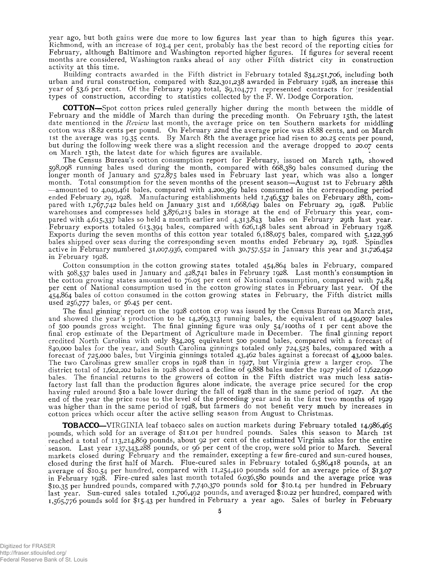year ago, but both gains were due more to low figures last year than to high figures this year. Richmond, with an increase of 103.4 per cent, probably has the best record of the reporting cities for February, although Baltimore and Washington reported higher figures. If figures for several recent months are considered, Washington ranks ahead of any other Fifth district city in construction activity at this time.

Building contracts awarded in the Fifth district in February totaled \$34,251,706, including both urban and rural construction, compared with \$22,301,238 awarded in February 1928, an increase this year of 53.6 per cent. Of the February 1929 total, \$9,104,771 represented contracts for 'residential types of construction, according to statistics collected by the  $\overline{F}$ . W. Dodge Corporation.

**COTTON**—Spot cotton prices ruled generally higher during the month between the middle of February and the middle of March than during the preceding month. On February 15th, the latest date mentioned in the *Review* last month, the average price on ten Southern markets for middling cotton was 18.82 cents per pound. On February 22nd the average price was 18.88 cents, and on March 1st the average was 19.35 cents. By March 8th the average price had risen to 20.25 cents per pound, but during the following week there was a slight recession and the average dropped to 20.07 cents on March 15th, the latest date for which figures are available.

The Census Bureau's cotton consumption report for February, issued on March 14th, showed 598,098 running bales used during the month, compared with 668,389 bales consumed during the longer month of January and 572,875 bales used in February last year, which was also a longer month. Total consumption for the seven months of the present season—August 1st to February 28th —amounted to 4,049,461 bales, compared with 4,200,369 bales consumed in the corresponding period ended February 29, 1928. Manufacturing establishments held 1,746,537 bales on February 28th, compared with 1,767,742 bales held on January 31st and 1,668,649 bales on February 29, 1928. Public warehouses and compresses held 3,876,215 bales in storage at the end of February this year, compared with 4,615,337 bales so held a month earlier and 4,313,843 bales on February 29th last year. February exports totaled 613,394 bales, compared with 626,148 bales sent abroad in February 1928. Exports during the seven months of this cotton year totaled 6,188,075 bales, compared with 5,122,396 bales shipped over seas during the corresponding seven months ended February 29, 1928. Spindles active in February numbered 31,007,936, compared with 30,757,552 in January this year and 31,726,452 in February 1928.

Cotton consumption in the cotton growing states totaled 454,864 bales in February, compared with 508,537 bales used in January and 428,741 bales in February 1928. Last month's consumption in the cotton growing states amounted to 76.05 per cent of National consumption, compared with 74.84 per cent of National consumption used in the cotton growing states in February last year. Of the 454,864 bales of cotton consumed in the cotton growing states in February, the Fifth district mills used 256,777 bales, or 56.45 per cent.

The final ginning report on the 1928 cotton crop was issued by the Census Bureau on March 21st, and showed the year's production to be 14,269,313 running bales, the equivalent of 14,450,007 bales of 500 pounds gross weight. The final ginning figure was only 54/iooths of 1 per cent above the final crop estimate of the Department of Agriculture made in December. The final ginning report credited North Carolina with only 834,205 equivalent 500 pound bales, compared with a forecast of 840,000 bales for the year, and South Carolina ginnings totaled only 724,525 bales, compared with a forecast of 725,000 bales, but Virginia ginnings totaled 43,462 bales against a forecast of 43,000 bales. The two Carolinas grew smaller crops in 1928 than in 1927, but Virginia grew a larger crop. The district total of 1,602,202 bales in 1928 showed a decline of 9,888 bales under the 1927 yield of 1,622,090 bales. The financial returns to the growers of cotton in the Fifth district was much less satisfactory last fall than the production figures alone indicate, the average price secured for the crop having ruled around \$10 a bale lower during the fall of 1928 than in the same period of 1927. At the end of the year the price rose to the level of the preceding year and in the first two months of 1929 was higher than in the same period of 1928, but farmers do not benefit very much by increases in cotton prices which occur after the active selling season from August to Christmas.

**TOBACCO**—VIRGINIA leaf tobacco sales on auction markets during February totaled 14,986,465 pounds, which sold for an average of \$11.01 per hundred pounds. Sales this season to March 1st reached a total of 113,214,869 pounds, about 92 per cent of the estimated Virginia sales for the entire season. Last year 137,343,288 pounds, or 96 per cent of the crop, were sold prior to March. Several markets closed during February and the remainder, excepting a few fire-cured and sun-cured houses, closed during the first half of March. Flue-cured sales in February totaled 6,586,418 pounds, at an average of \$10.54 per hundred, compared with 11,254,410 pounds sold for an average price of \$13.07 in February 1928. Fire-cured sales last month totaled 6,036,580 pounds and the average price was \$10.35 Per hundred pounds, compared with 7,740,370 pounds sold for \$10.14 per hundred in February last year. Sun-cured sales totaled 1,706,492 pounds, and averaged \$10.22 per hundred, compared with 1,565,776 pounds sold for \$15.43 per hundred in February a year ago. Sales of burley in February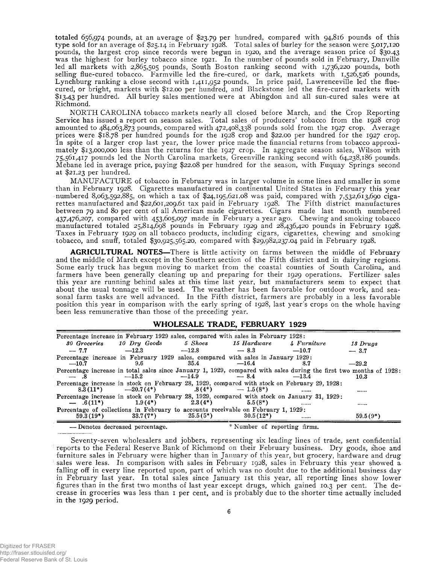totaled 656,974 pounds, at an average of \$23.79 per hundred, compared with 94,816 pounds of this type sold for an average of \$25.14 in February 1928. Total sales of burley for the season were 5,017,120 pounds, the largest crop since records were begun in 1920, and the average season price of \$30.43 was the highest for burley tobacco since 1921. In the number of pounds sold in February, Danville led all markets with 2,865,505 pounds, South Boston ranking second with 1,736,220 pounds, both selling flue-cured tobacco. Farmville led the fire-cured, or dark, markets with 1,526,526 pounds, Lynchburg ranking a close second with 1,411,952 pounds. In price paid, Lawrenceville led the fluecured, or bright, markets with \$12.00 per hundred, and Blackstone led the fire-cured markets with \$13.43 per hundred. All burley sales mentioned were at Abingdon and all sun-cured sales were at Richmond.

NORTH CAROLINA tobacco markets nearly all closed before March, and the Crop Reporting Service has issued a report on season sales. Total sales of producers' tobacco from the 1928 crop amounted to 484,063,873 pounds, compared with 472,408,338 pounds sold from the 1927 crop. Average prices were \$18.78 per hundred pounds for the 1928 crop and \$22.00 per hundred for the 1927 crop. In spite of a larger crop last year, the lower price made the financial returns from tobacco approximately \$13,000,000 less than the returns for the 1927 crop. In aggregate season sales, Wilson with 75,561,417 pounds led the North Carolina markets, Greenville ranking second with 64,238,186 pounds. Mebane led in average price, paying \$22.08 per hundred for the season, with Fuquay Springs second at \$21.23 per hundred.

MANUFACTURE of tobacco in February was in larger volume in some lines and smaller in some than in February 1928. Cigarettes manufactured in continental United States in February this year numbered 8,063,592,885, on which a tax of \$24,195,621.08 was paid, compared with 7,532,613,690 cigarettes manufactured and \$22,601,209.61 tax paid in February 1928. The Fifth district manufactures between 79 and 80 per cent of all American made cigarettes. Cigars made last month numbered 437,476,207, compared with 453,605,097 made in February a year ago. Chewing and smoking tobacco manufactured totaled 25,814,698 pounds in February 1929 and 28,436,420 pounds in February 1928. Taxes in February 1929 on all tobacco products, including cigars, cigarettes, chewing and smoking tobacco, and snuff, totaled \$30,925,565.20, compared with \$29,982,237.04 paid in February 1928.

**AGRICULTURAL NOTES**—There is little activity on farms between the middle of February . and the middle of March except in the Southern section of the Fifth district and in dairying regions. Some early truck has begun moving to market from the coastal counties of South Carolina, and farmers have been generally cleaning up and preparing for their 1929 operations. Fertilizer sales this year are running behind sales at this time last year, but manufacturers seem to expect that about the usual tonnage will be used. The weather has been favorable for outdoor work, and seasonal farm tasks are well advanced. In the Fifth district, farmers are probably in a less favorable position this year in comparison with the early spring of 1928, last year's crops on the whole having been less remunerative than those of the preceding year.

#### \_\_\_\_\_\_\_\_ **\_\_\_\_\_\_\_\_\_\_\_\_\_\_\_\_\_\_\_ WHOLESALE TRADE, FEBRUARY 1929**\_\_\_\_\_\_\_\_\_\_\_\_\_\_\_\_\_\_\_\_\_\_\_\_\_\_

| Percentage increase in February 1929 sales, compared with sales in February 1928:                         |                                   |             |                              |             |                                                                                                                            |
|-----------------------------------------------------------------------------------------------------------|-----------------------------------|-------------|------------------------------|-------------|----------------------------------------------------------------------------------------------------------------------------|
|                                                                                                           | 80 Groceries 10 Dry Goods 5 Shoes |             | 15 Hardware                  | 4 Furniture | 13 Druas                                                                                                                   |
| $-7.7$                                                                                                    | $-12.3$                           | $-12.8$     | $-8.3$                       | $-10.7$     | $-3.7$                                                                                                                     |
| Percentage increase in February 1929 sales, compared with sales in January 1929:                          |                                   |             |                              |             |                                                                                                                            |
| $-10.7$                                                                                                   | 9.6                               | 35.4        | $-16.4$                      | 8.7         | $-29.2$                                                                                                                    |
| $-$ 8                                                                                                     | $-15.2$                           | $-14.9$     | $-8.4$                       | $-13.4$     | Percentage increase in total sales since January 1, 1929, compared with sales during the first two months of 1928:<br>10.3 |
| Percentage increase in stock on February 28, 1929, compared with stock on February 29, 1928:              | $8.3(11*)$ $-20.7(4*)$            | $.8(4^*)$   | $-1.5(8^*)$                  |             |                                                                                                                            |
| Percentage increase in stock on February 28, 1929, compared with stock on January 31, 1929;<br>$-6(11^*)$ | $1.9(4*)$                         | $2.3(4^*)$  | $5.5(8*)$                    |             | ------                                                                                                                     |
| <b>Percentage of collections in February to accounts receivable on February 1, 1929:</b>                  |                                   |             |                              |             |                                                                                                                            |
| $59.3(19*)$                                                                                               | $33.7(7^*)$                       | $25.5(5^*)$ | $30.5(12*)$                  |             | $59.5(9*)$                                                                                                                 |
|                                                                                                           | -Denotes decreased percentage.    |             | * Number of reporting firms. |             |                                                                                                                            |

Seventy-seven wholesalers and jobbers, representing six leading lines of trade, sent confidential reports to the Federal Reserve Bank of Richmond on their February business. Dry goods, shoe and furniture sales in February were higher than in January of this year, but grocery, hardware and drug sales were less. In comparison with sales in February 1928, sales in February this year showed a falling off in every line reported upon, part of which was no doubt due to the additional business day in February last year. In total sales since January ist this year, all reporting lines show lower figures than in the first two months of last year except drugs, which gained 10.3 per cent. The decrease in groceries was less than 1 per cent, and is probably due to the shorter time actually included in the 1929 period.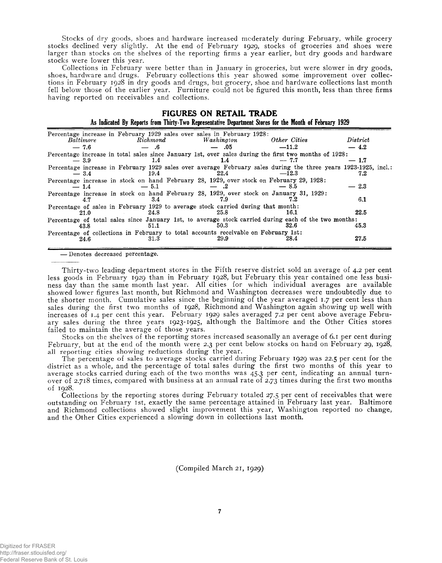Stocks of dry goods, shoes and hardware increased moderately during February, while grocery stocks declined very slightly. At the end of February 1929, stocks of groceries and shoes were larger than stocks on the shelves of the reporting firms a year earlier, but dry goods and hardware stocks were lower this year.

Collections in February were better than in January in groceries, but were slower in dry goods, shoes, hardware and drugs. February collections this year showed some improvement over collections in February 1928 in dry goods and drugs, but grocery, shoe and hardware collections last month fell below those of the earlier year. Furniture could not be figured this month, less than three firms having reported on receivables and collections.

| <b>FIGURES ON RETAIL TRADE</b>                                                                          |  |
|---------------------------------------------------------------------------------------------------------|--|
| As Indicated By Reports from Thirty-Two Representative Department Stores for the Month of February 1929 |  |

| Percentage increase in February 1929 sales over sales in February 1928:                                                   |          |               |              |          |
|---------------------------------------------------------------------------------------------------------------------------|----------|---------------|--------------|----------|
| Baltimore                                                                                                                 | Richmond | Washington    | Other Cities | District |
| $-7.6$                                                                                                                    | - 6      | — .05         | $-11.2$      | $-4.2$   |
| Percentage increase in total sales since January 1st, over sales during the first two months of 1928:<br>$-3.9$           | 1.4      | $1.4^{\circ}$ | $-7.7$       | $-1.7$   |
| Percentage increase in February 1929 sales over average February sales during the three years 1923-1925, incl.:<br>$-3.4$ | 19.4     | 22.4          | $-12.3$      | 7.2      |
| Percentage increase in stock on hand February 28, 1929, over stock on February 29, 1928:<br>$-1.4$                        | $-5.1$   | .2            | $-8.5$       | $-2.3$   |
| Percentage increase in stock on hand February 28, 1929, over stock on January 31, 1929:<br>4.7                            | 3.4      | 7.9           | 7.2          | 6.1      |
| Percentage of sales in February 1929 to average stock carried during that month:<br>21.0                                  | 24.8     | 25.8          | 16.1         | 22.5     |
| Percentage of total sales since January 1st, to average stock carried during each of the two months:<br>43.8              | 51.1     | 50.3          | 32.6         | 45.3     |
| Percentage of collections in February to total accounts receivable on February 1st:<br>24.6                               | 31.3     | 29.9          | 28.4         | 27.5     |

— Denotes decreased percentage.

Thirty-two leading department stores in the Fifth reserve district sold an average of 4.2 per cent less goods in February 1929 than in February 1928, but February this year contained one less business day than the same month last year. All cities for which individual averages are available showed lower figures last month, but Richmond and Washington decreases were undoubtedly due to the shorter month. Cumulative sales since the beginning of the year averaged 1.7 per cent less than sales during the first two months of 1928, Richmond and Washington again showing up well with increases of 1.4 per cent this year. February 1929 sales averaged 7.2 per cent above average February sales during the three years 1923-1925, although the Baltimore and the Other Cities stores failed to maintain the average of those years.

Stocks on the shelves of the reporting stores increased seasonally an average of 6.1 per cent during February, but at the end of the month were 2.3 per cent below stocks on hand on February 29, 1928, all reporting cities showing reductions during the year.

The percentage of sales to average stocks carried during February 1929 was 22.5 per cent for the district as a whole, and the percentage of total sales during the first two months of this year to average stocks carried during each of the two months was 45.3 per cent, indicating an annual turnover of 2.718 times, compared with business at an annual rate of 2.73 times during the first two months of 1928.

Collections by the reporting stores during February totaled 27.5 per cent of receivables that were outstanding on February 1st, exactly the same percentage attained in February last year. Baltimore and Richmond collections showed slight improvement this year, Washington reported no change, and the Other Cities experienced a slowing down in collections last month.

(Compiled March 21, 1929)